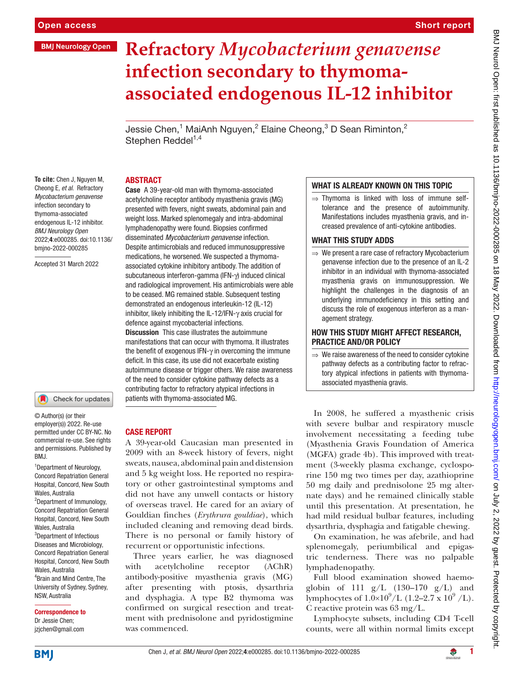### **BMJ Neurology Open**

# **Refractory** *Mycobacterium genavense* **infection secondary to thymomaassociated endogenous IL-12 inhibitor**

Jessie Chen,<sup>1</sup> MaiAnh Nguyen,<sup>2</sup> Elaine Cheong,<sup>3</sup> D Sean Riminton,<sup>2</sup> Stephen Reddel $1,4$ 

#### ABSTRACT

**To cite:** Chen J, Nguyen M, Cheong E*, et al*. Refractory *Mycobacterium genavense* infection secondary to thymoma-associated endogenous IL-12 inhibitor. *BMJ Neurology Open* 2022;4:e000285. doi:10.1136/ bmjno-2022-000285

Accepted 31 March 2022



© Author(s) (or their employer(s)) 2022. Re-use permitted under CC BY-NC. No commercial re-use. See rights and permissions. Published by BMJ.

<sup>1</sup> Department of Neurology, Concord Repatriation General Hospital, Concord, New South Wales, Australia 2 Department of Immunology, Concord Repatriation General Hospital, Concord, New South Wales, Australia 3 Department of Infectious Diseases and Microbiology, Concord Repatriation General Hospital, Concord, New South Wales, Australia 4 Brain and Mind Centre, The University of Sydney, Sydney, NSW, Australia

Correspondence to Dr Jessie Chen; jzjchen@gmail.com

Case A 39-year-old man with thymoma-associated acetylcholine receptor antibody myasthenia gravis (MG) presented with fevers, night sweats, abdominal pain and weight loss. Marked splenomegaly and intra-abdominal lymphadenopathy were found. Biopsies confirmed disseminated *Mycobacterium genavense* infection. Despite antimicrobials and reduced immunosuppressive medications, he worsened. We suspected a thymomaassociated cytokine inhibitory antibody. The addition of subcutaneous interferon-gamma (IFN-γ) induced clinical and radiological improvement. His antimicrobials were able to be ceased. MG remained stable. Subsequent testing demonstrated an endogenous interleukin-12 (IL-12) inhibitor, likely inhibiting the IL-12/IFN-γ axis crucial for defence against mycobacterial infections.

**Discussion** This case illustrates the autoimmune manifestations that can occur with thymoma. It illustrates the benefit of exogenous IFN-γ in overcoming the immune deficit. In this case, its use did not exacerbate existing autoimmune disease or trigger others. We raise awareness of the need to consider cytokine pathway defects as a contributing factor to refractory atypical infections in patients with thymoma-associated MG.

#### CASE REPORT

A 39-year-old Caucasian man presented in 2009 with an 8-week history of fevers, night sweats, nausea, abdominal pain and distension and 5 kg weight loss. He reported no respiratory or other gastrointestinal symptoms and did not have any unwell contacts or history of overseas travel. He cared for an aviary of Gouldian finches (*Erythrura gouldiae*), which included cleaning and removing dead birds. There is no personal or family history of recurrent or opportunistic infections.

Three years earlier, he was diagnosed with acetylcholine receptor (AChR) antibody-positive myasthenia gravis (MG) after presenting with ptosis, dysarthria and dysphagia. A type B2 thymoma was confirmed on surgical resection and treatment with prednisolone and pyridostigmine was commenced.

#### WHAT IS ALREADY KNOWN ON THIS TOPIC

⇒ Thymoma is linked with loss of immune selftolerance and the presence of autoimmunity. Manifestations includes myasthenia gravis, and increased prevalence of anti-cytokine antibodies.

### WHAT THIS STUDY ADDS

 $\Rightarrow$  We present a rare case of refractory Mycobacterium genavense infection due to the presence of an IL-2 inhibitor in an individual with thymoma-associated myasthenia gravis on immunosuppression. We highlight the challenges in the diagnosis of an underlying immunodeficiency in this setting and discuss the role of exogenous interferon as a management strategy.

# HOW THIS STUDY MIGHT AFFECT RESEARCH, PRACTICE AND/OR POLICY

 $\Rightarrow$  We raise awareness of the need to consider cytokine pathway defects as a contributing factor to refractory atypical infections in patients with thymomaassociated myasthenia gravis.

In 2008, he suffered a myasthenic crisis with severe bulbar and respiratory muscle involvement necessitating a feeding tube (Myasthenia Gravis Foundation of America (MGFA) grade 4b). This improved with treatment (3-weekly plasma exchange, cyclosporine 150 mg two times per day, azathioprine 50 mg daily and prednisolone 25 mg alternate days) and he remained clinically stable until this presentation. At presentation, he had mild residual bulbar features, including dysarthria, dysphagia and fatigable chewing. On examination, he was afebrile, and had splenomegaly, periumbilical and epigastric tenderness. There was no palpable

Full blood examination showed haemoglobin of 111  $g/L$  (130–170  $g/L$ ) and lymphocytes of  $1.0 \times 10^9$ /L (1.2–2.7 x 10<sup>9</sup>/L). C reactive protein was 63 mg/L.

lymphadenopathy.

Lymphocyte subsets, including CD4 T-cell counts, were all within normal limits except

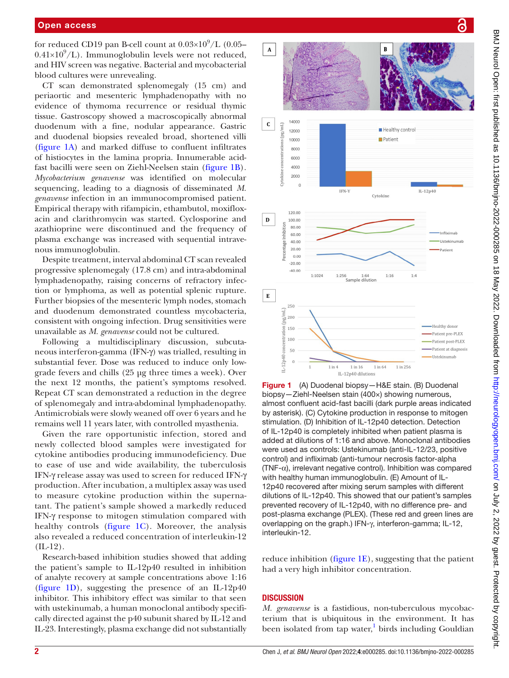for reduced CD19 pan B-cell count at  $0.03\times10^9/\mathrm{L}$  (0.05–  $0.41\times10^{9}/L$ ). Immunoglobulin levels were not reduced, and HIV screen was negative. Bacterial and mycobacterial blood cultures were unrevealing.

CT scan demonstrated splenomegaly (15 cm) and periaortic and mesenteric lymphadenopathy with no evidence of thymoma recurrence or residual thymic tissue. Gastroscopy showed a macroscopically abnormal duodenum with a fine, nodular appearance. Gastric and duodenal biopsies revealed broad, shortened villi ([figure](#page-1-0) 1A) and marked diffuse to confluent infiltrates of histiocytes in the lamina propria. Innumerable acidfast bacilli were seen on Ziehl-Neelsen stain [\(figure](#page-1-0) 1B)*. Mycobacterium genavense* was identified on molecular sequencing, leading to a diagnosis of disseminated *M. genavense* infection in an immunocompromised patient. Empirical therapy with rifampicin, ethambutol, moxifloxacin and clarithromycin was started. Cyclosporine and azathioprine were discontinued and the frequency of plasma exchange was increased with sequential intravenous immunoglobulin.

Despite treatment, interval abdominal CT scan revealed progressive splenomegaly (17.8 cm) and intra-abdominal lymphadenopathy, raising concerns of refractory infection or lymphoma, as well as potential splenic rupture. Further biopsies of the mesenteric lymph nodes, stomach and duodenum demonstrated countless mycobacteria, consistent with ongoing infection. Drug sensitivities were unavailable as *M. genavense* could not be cultured.

Following a multidisciplinary discussion, subcutaneous interferon-gamma (IFN-γ) was trialled, resulting in substantial fever. Dose was reduced to induce only lowgrade fevers and chills (25 μg three times a week). Over the next 12 months, the patient's symptoms resolved. Repeat CT scan demonstrated a reduction in the degree of splenomegaly and intra-abdominal lymphadenopathy. Antimicrobials were slowly weaned off over 6 years and he remains well 11 years later, with controlled myasthenia.

Given the rare opportunistic infection*,* stored and newly collected blood samples were investigated for cytokine antibodies producing immunodeficiency. Due to ease of use and wide availability, the tuberculosis IFN-γ release assay was used to screen for reduced IFN-γ production. After incubation, a multiplex assay was used to measure cytokine production within the supernatant. The patient's sample showed a markedly reduced IFN-γ response to mitogen stimulation compared with healthy controls ([figure](#page-1-0) 1C). Moreover, the analysis also revealed a reduced concentration of interleukin-12  $(IL-12).$ 

Research-based inhibition studies showed that adding the patient's sample to IL-12p40 resulted in inhibition of analyte recovery at sample concentrations above 1:16 ([figure](#page-1-0) 1D), suggesting the presence of an IL-12p40 inhibitor. This inhibitory effect was similar to that seen with ustekinumab, a human monoclonal antibody specifically directed against the p40 subunit shared by IL-12 and IL-23. Interestingly, plasma exchange did not substantially



<span id="page-1-0"></span>Figure 1 (A) Duodenal biopsy-H&E stain. (B) Duodenal biopsy—Ziehl-Neelsen stain (400×) showing numerous, almost confluent acid-fast bacilli (dark purple areas indicated by asterisk). (C) Cytokine production in response to mitogen stimulation. (D) Inhibition of IL-12p40 detection. Detection of IL-12p40 is completely inhibited when patient plasma is added at dilutions of 1:16 and above. Monoclonal antibodies were used as controls: Ustekinumab (anti-IL-12/23, positive control) and infliximab (anti-tumour necrosis factor-alpha (TNF-α), irrelevant negative control). Inhibition was compared with healthy human immunoglobulin. (E) Amount of IL-12p40 recovered after mixing serum samples with different dilutions of IL-12p40. This showed that our patient's samples prevented recovery of IL-12p40, with no difference pre- and post-plasma exchange (PLEX). (These red and green lines are overlapping on the graph.) IFN-γ, interferon-gamma; IL-12, interleukin-12.

reduce inhibition [\(figure](#page-1-0) 1E), suggesting that the patient had a very high inhibitor concentration.

## **DISCUSSION**

*M. genavense* is a fastidious, non-tuberculous mycobacterium that is ubiquitous in the environment. It has been isolated from tap water,<sup>1</sup> birds including Gouldian

႕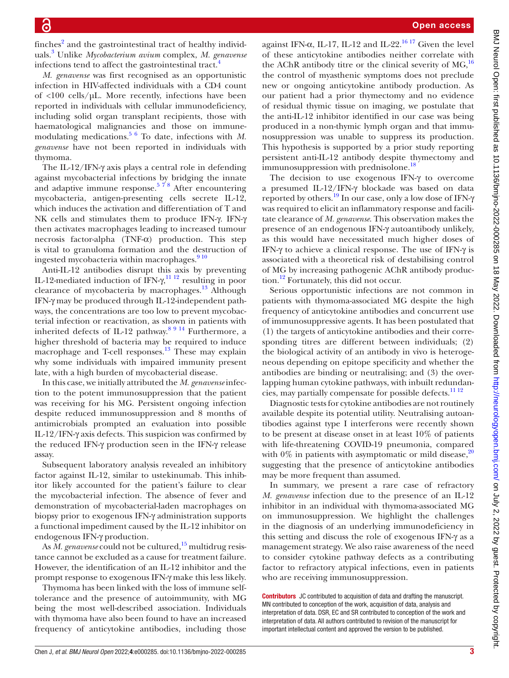finches<sup>[2](#page-3-1)</sup> and the gastrointestinal tract of healthy individuals.[3](#page-3-2) Unlike *Mycobacterium avium* complex, *M. genavense* infections tend to affect the gastrointestinal tract.<sup>[4](#page-3-3)</sup>

*M. genavense* was first recognised as an opportunistic infection in HIV-affected individuals with a CD4 count of <100 cells/µL. More recently, infections have been reported in individuals with cellular immunodeficiency, including solid organ transplant recipients, those with haematological malignancies and those on immunemodulating medications.[5 6](#page-3-4) To date, infections with *M. genavense* have not been reported in individuals with thymoma.

The IL-12/IFN-γ axis plays a central role in defending against mycobacterial infections by bridging the innate and adaptive immune response.<sup>578</sup> After encountering mycobacteria, antigen-presenting cells secrete IL-12, which induces the activation and differentiation of T and NK cells and stimulates them to produce IFN-γ. IFN-γ then activates macrophages leading to increased tumour necrosis factor-alpha (TNF-α) production. This step is vital to granuloma formation and the destruction of ingested mycobacteria within macrophages.<sup>9 10</sup>

Anti-IL-12 antibodies disrupt this axis by preventing IL-12-mediated induction of IFN- $\gamma$ ,<sup>11 12</sup> resulting in poor clearance of mycobacteria by macrophages.<sup>13</sup> Although IFN-γ may be produced through IL-12-independent pathways, the concentrations are too low to prevent mycobacterial infection or reactivation, as shown in patients with inherited defects of IL-12 pathway.<sup>[8 9 14](#page-3-8)</sup> Furthermore, a higher threshold of bacteria may be required to induce macrophage and T-cell responses.<sup>13</sup> These may explain why some individuals with impaired immunity present late, with a high burden of mycobacterial disease.

In this case, we initially attributed the *M. genavense* infection to the potent immunosuppression that the patient was receiving for his MG. Persistent ongoing infection despite reduced immunosuppression and 8 months of antimicrobials prompted an evaluation into possible IL-12/IFN-γ axis defects. This suspicion was confirmed by the reduced IFN-γ production seen in the IFN-γ release assay.

Subsequent laboratory analysis revealed an inhibitory factor against IL-12, similar to ustekinumab. This inhibitor likely accounted for the patient's failure to clear the mycobacterial infection. The absence of fever and demonstration of mycobacterial-laden macrophages on biopsy prior to exogenous IFN-γ administration supports a functional impediment caused by the IL-12 inhibitor on endogenous IFN-γ production.

As M. genavense could not be cultured,<sup>15</sup> multidrug resistance cannot be excluded as a cause for treatment failure. However, the identification of an IL-12 inhibitor and the prompt response to exogenous IFN-γ make this less likely.

Thymoma has been linked with the loss of immune selftolerance and the presence of autoimmunity, with MG being the most well-described association. Individuals with thymoma have also been found to have an increased frequency of anticytokine antibodies, including those

against IFN- $\alpha$ , IL-17, IL-12 and IL-22.<sup>[16 17](#page-3-10)</sup> Given the level of these anticytokine antibodies neither correlate with the AChR antibody titre or the clinical severity of  $MG<sub>16</sub>$  $MG<sub>16</sub>$  $MG<sub>16</sub>$ <sup>16</sup> the control of myasthenic symptoms does not preclude new or ongoing anticytokine antibody production. As our patient had a prior thymectomy and no evidence of residual thymic tissue on imaging, we postulate that the anti-IL-12 inhibitor identified in our case was being produced in a non-thymic lymph organ and that immunosuppression was unable to suppress its production. This hypothesis is supported by a prior study reporting persistent anti-IL-12 antibody despite thymectomy and immunosuppression with prednisolone.<sup>18</sup>

The decision to use exogenous IFN-γ to overcome a presumed IL-12/IFN-γ blockade was based on data reported by others.[19](#page-3-12) In our case, only a low dose of IFN-γ was required to elicit an inflammatory response and facilitate clearance of *M. genavense*. This observation makes the presence of an endogenous IFN-γ autoantibody unlikely, as this would have necessitated much higher doses of IFN-γ to achieve a clinical response. The use of IFN-γ is associated with a theoretical risk of destabilising control of MG by increasing pathogenic AChR antibody production.<sup>12</sup> Fortunately, this did not occur.

Serious opportunistic infections are not common in patients with thymoma-associated MG despite the high frequency of anticytokine antibodies and concurrent use of immunosuppressive agents. It has been postulated that (1) the targets of anticytokine antibodies and their corresponding titres are different between individuals; (2) the biological activity of an antibody in vivo is heterogeneous depending on epitope specificity and whether the antibodies are binding or neutralising; and (3) the overlapping human cytokine pathways, with inbuilt redundan-cies, may partially compensate for possible defects.<sup>[11 12](#page-3-6)</sup>

Diagnostic tests for cytokine antibodies are not routinely available despite its potential utility. Neutralising autoantibodies against type I interferons were recently shown to be present at disease onset in at least 10% of patients with life-threatening COVID-19 pneumonia, compared with  $0\%$  in patients with asymptomatic or mild disease,  $20$ suggesting that the presence of anticytokine antibodies may be more frequent than assumed.

In summary, we present a rare case of refractory *M. genavense* infection due to the presence of an IL-12 inhibitor in an individual with thymoma-associated MG on immunosuppression. We highlight the challenges in the diagnosis of an underlying immunodeficiency in this setting and discuss the role of exogenous IFN-γ as a management strategy. We also raise awareness of the need to consider cytokine pathway defects as a contributing factor to refractory atypical infections, even in patients who are receiving immunosuppression.

**Contributors** JC contributed to acquisition of data and drafting the manuscript. MN contributed to conception of the work, acquisition of data, analysis and interpretation of data. DSR, EC and SR contributed to conception of the work and interpretation of data. All authors contributed to revision of the manuscript for important intellectual content and approved the version to be published.